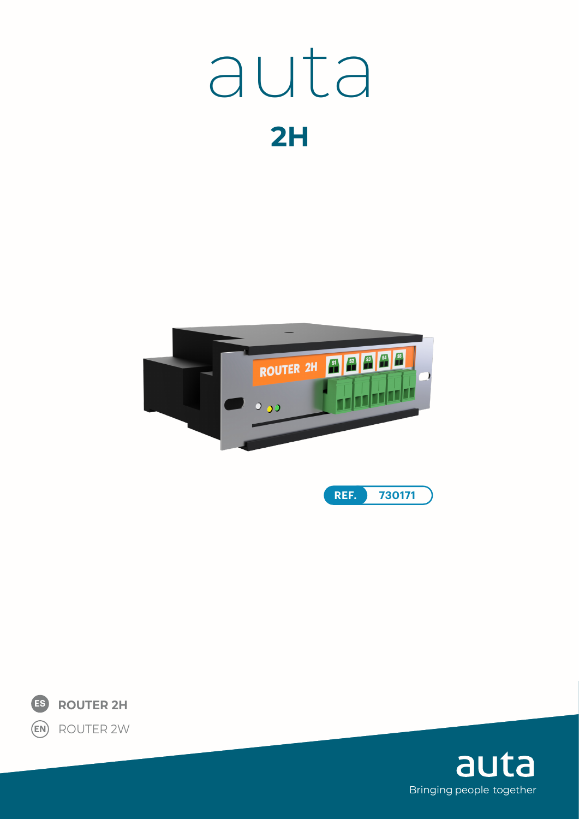# auta  $2H$







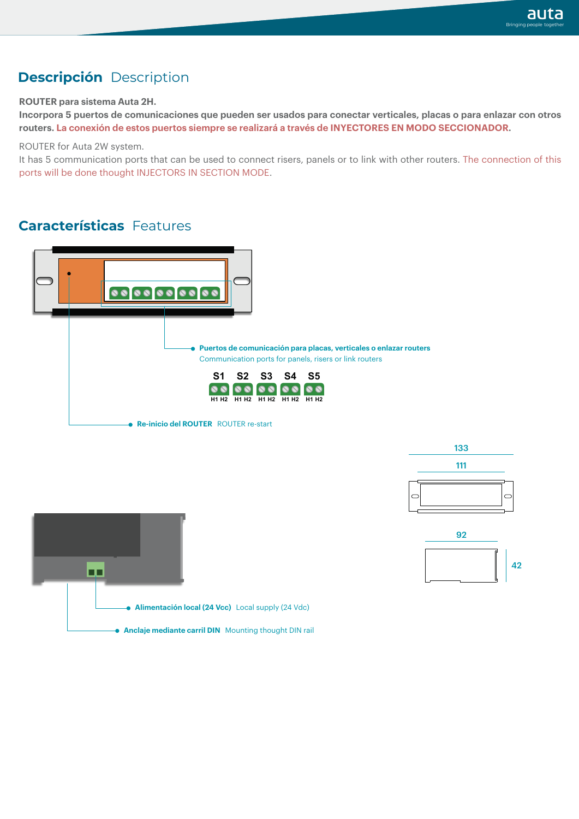### **Descripción** Description

#### **ROUTER para sistema Auta 2H.**

**Incorpora 5 puertos de comunicaciones que pueden ser usados para conectar verticales, placas o para enlazar con otros routers. La conexión de estos puertos siempre se realizará a través de INYECTORES EN MODO SECCIONADOR.**

ROUTER for Auta 2W system.

It has 5 communication ports that can be used to connect risers, panels or to link with other routers. The connection of this ports will be done thought INJECTORS IN SECTION MODE.

#### **Características** Features







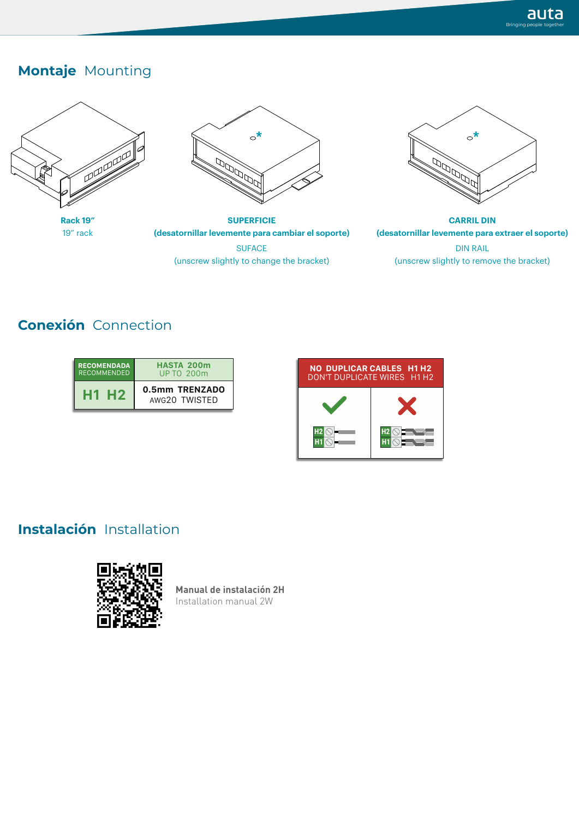## **Montaje** Mounting





**SUPERFICIE (desatornillar levemente para cambiar el soporte)**

**SUFACE** (unscrew slightly to change the bracket)



**CARRIL DIN (desatornillar levemente para extraer el soporte)** DIN RAIL (unscrew slightly to remove the bracket)

# **Conexión** Connection

| <b>RECOMENDADA</b> | <b>HASTA 200m</b> |
|--------------------|-------------------|
| <b>RECOMMENDED</b> | UP TO 200m        |
| 세계                 | 0.5mm TRENZADO    |
| H 2                | AWG20 TWISTED     |



# **Instalación** Installation



**Manual de instalación 2H** Installation manual 2W